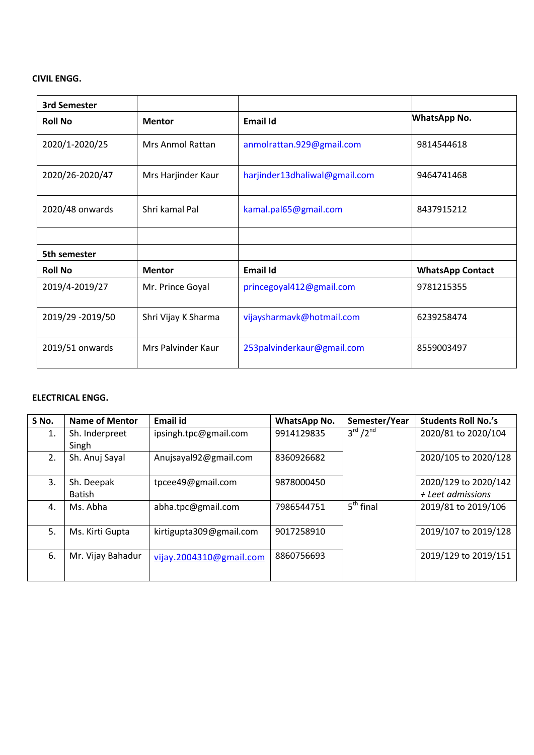## **CIVIL ENGG.**

| <b>3rd Semester</b> |                         |                               |                         |
|---------------------|-------------------------|-------------------------------|-------------------------|
| <b>Roll No</b>      | <b>Mentor</b>           | <b>Email Id</b>               | <b>WhatsApp No.</b>     |
| 2020/1-2020/25      | <b>Mrs Anmol Rattan</b> | anmolrattan.929@gmail.com     | 9814544618              |
| 2020/26-2020/47     | Mrs Harjinder Kaur      | harjinder13dhaliwal@gmail.com | 9464741468              |
| 2020/48 onwards     | Shri kamal Pal          | kamal.pal65@gmail.com         | 8437915212              |
|                     |                         |                               |                         |
| 5th semester        |                         |                               |                         |
| <b>Roll No</b>      | <b>Mentor</b>           | <b>Email Id</b>               | <b>WhatsApp Contact</b> |
| 2019/4-2019/27      | Mr. Prince Goyal        | princegoyal412@gmail.com      | 9781215355              |
| 2019/29 -2019/50    | Shri Vijay K Sharma     | vijaysharmavk@hotmail.com     | 6239258474              |
| 2019/51 onwards     | Mrs Palvinder Kaur      | 253palvinderkaur@gmail.com    | 8559003497              |

#### **ELECTRICAL ENGG.**

| S No. | <b>Name of Mentor</b> | <b>Email id</b>         | <b>WhatsApp No.</b> | Semester/Year                    | <b>Students Roll No.'s</b> |
|-------|-----------------------|-------------------------|---------------------|----------------------------------|----------------------------|
| 1.    | Sh. Inderpreet        | ipsingh.tpc@gmail.com   | 9914129835          | $3^{\text{rd}}$ /2 <sup>nd</sup> | 2020/81 to 2020/104        |
|       | Singh                 |                         |                     |                                  |                            |
| 2.    | Sh. Anuj Sayal        | Anujsayal92@gmail.com   | 8360926682          |                                  | 2020/105 to 2020/128       |
|       |                       |                         |                     |                                  |                            |
| 3.    | Sh. Deepak            | tpcee49@gmail.com       | 9878000450          |                                  | 2020/129 to 2020/142       |
|       | <b>Batish</b>         |                         |                     |                                  | + Leet admissions          |
| 4.    | Ms. Abha              | abha.tpc@gmail.com      | 7986544751          | $5th$ final                      | 2019/81 to 2019/106        |
|       |                       |                         |                     |                                  |                            |
| 5.    | Ms. Kirti Gupta       | kirtigupta309@gmail.com | 9017258910          |                                  | 2019/107 to 2019/128       |
|       |                       |                         |                     |                                  |                            |
| 6.    | Mr. Vijay Bahadur     | vijay.2004310@gmail.com | 8860756693          |                                  | 2019/129 to 2019/151       |
|       |                       |                         |                     |                                  |                            |
|       |                       |                         |                     |                                  |                            |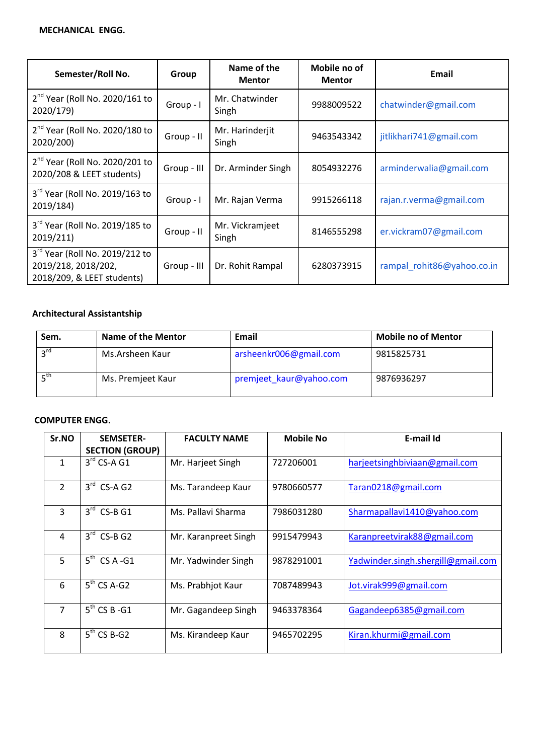| Semester/Roll No.                                                                   | Group       | Name of the<br><b>Mentor</b> | Mobile no of<br><b>Mentor</b> | <b>Email</b>               |
|-------------------------------------------------------------------------------------|-------------|------------------------------|-------------------------------|----------------------------|
| $2nd$ Year (Roll No. 2020/161 to<br>2020/179)                                       | Group - I   | Mr. Chatwinder<br>Singh      | 9988009522                    | chatwinder@gmail.com       |
| $2nd$ Year (Roll No. 2020/180 to<br>2020/200)                                       | Group - II  | Mr. Harinderjit<br>Singh     | 9463543342                    | jitlikhari741@gmail.com    |
| $2nd$ Year (Roll No. 2020/201 to<br>2020/208 & LEET students)                       | Group - III | Dr. Arminder Singh           | 8054932276                    | arminderwalia@gmail.com    |
| 3rd Year (Roll No. 2019/163 to<br>2019/184)                                         | Group - I   | Mr. Rajan Verma              | 9915266118                    | rajan.r.verma@gmail.com    |
| 3rd Year (Roll No. 2019/185 to<br>2019/211)                                         | Group - II  | Mr. Vickramjeet<br>Singh     | 8146555298                    | er.vickram07@gmail.com     |
| 3rd Year (Roll No. 2019/212 to<br>2019/218, 2018/202,<br>2018/209, & LEET students) | Group - III | Dr. Rohit Rampal             | 6280373915                    | rampal rohit86@yahoo.co.in |

# **Architectural Assistantship**

| Sem.            | <b>Name of the Mentor</b> | Email                   | <b>Mobile no of Mentor</b> |
|-----------------|---------------------------|-------------------------|----------------------------|
| $2^{\text{rd}}$ | Ms.Arsheen Kaur           | arsheenkr006@gmail.com  | 9815825731                 |
| ς <sup>th</sup> | Ms. Premjeet Kaur         | premjeet_kaur@yahoo.com | 9876936297                 |

### **COMPUTER ENGG.**

| Sr.NO          | <b>SEMSETER-</b><br><b>SECTION (GROUP)</b> | <b>FACULTY NAME</b>  | <b>Mobile No</b> | E-mail Id                          |
|----------------|--------------------------------------------|----------------------|------------------|------------------------------------|
| $\mathbf{1}$   | $3rd$ CS-A G1                              | Mr. Harjeet Singh    | 727206001        | harjeetsinghbiviaan@gmail.com      |
| $\overline{2}$ | $3^{\text{rd}}$<br>$CS-A G2$               | Ms. Tarandeep Kaur   | 9780660577       | Taran0218@gmail.com                |
| $\overline{3}$ | $3rd$ CS-B G1                              | Ms. Pallavi Sharma   | 7986031280       | Sharmapallavi1410@yahoo.com        |
| 4              | $3rd$ CS-B G2                              | Mr. Karanpreet Singh | 9915479943       | Karanpreetvirak88@gmail.com        |
| 5              | $5^{th}$ CS A -G1                          | Mr. Yadwinder Singh  | 9878291001       | Yadwinder.singh.shergill@gmail.com |
| 6              | $5th$ CS A-G2                              | Ms. Prabhjot Kaur    | 7087489943       | Jot.virak999@gmail.com             |
| $\overline{7}$ | $5th$ CS B -G1                             | Mr. Gagandeep Singh  | 9463378364       | Gagandeep6385@gmail.com            |
| 8              | $5th$ CS B-G2                              | Ms. Kirandeep Kaur   | 9465702295       | Kiran.khurmi@gmail.com             |